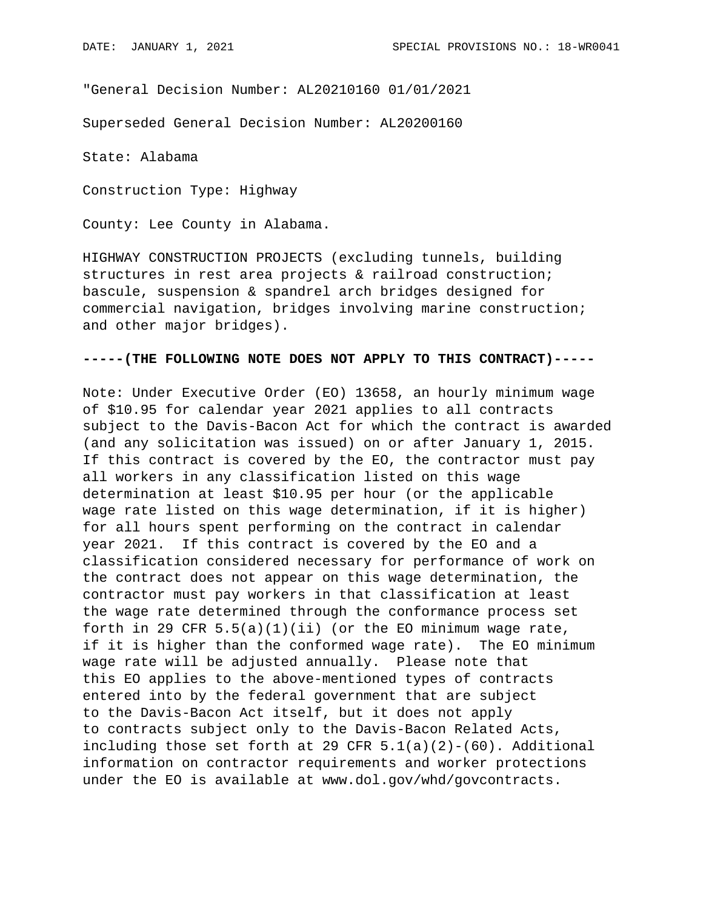"General Decision Number: AL20210160 01/01/2021

Superseded General Decision Number: AL20200160

State: Alabama

Construction Type: Highway

County: Lee County in Alabama.

HIGHWAY CONSTRUCTION PROJECTS (excluding tunnels, building structures in rest area projects & railroad construction; bascule, suspension & spandrel arch bridges designed for commercial navigation, bridges involving marine construction; and other major bridges).

## **-----(THE FOLLOWING NOTE DOES NOT APPLY TO THIS CONTRACT)-----**

Note: Under Executive Order (EO) 13658, an hourly minimum wage of \$10.95 for calendar year 2021 applies to all contracts subject to the Davis-Bacon Act for which the contract is awarded (and any solicitation was issued) on or after January 1, 2015. If this contract is covered by the EO, the contractor must pay all workers in any classification listed on this wage determination at least \$10.95 per hour (or the applicable wage rate listed on this wage determination, if it is higher) for all hours spent performing on the contract in calendar year 2021. If this contract is covered by the EO and a classification considered necessary for performance of work on the contract does not appear on this wage determination, the contractor must pay workers in that classification at least the wage rate determined through the conformance process set forth in 29 CFR  $5.5(a)(1)(ii)$  (or the EO minimum wage rate, if it is higher than the conformed wage rate). The EO minimum wage rate will be adjusted annually. Please note that this EO applies to the above-mentioned types of contracts entered into by the federal government that are subject to the Davis-Bacon Act itself, but it does not apply to contracts subject only to the Davis-Bacon Related Acts, including those set forth at 29 CFR  $5.1(a)(2)-(60)$ . Additional information on contractor requirements and worker protections under the EO is available at www.dol.gov/whd/govcontracts.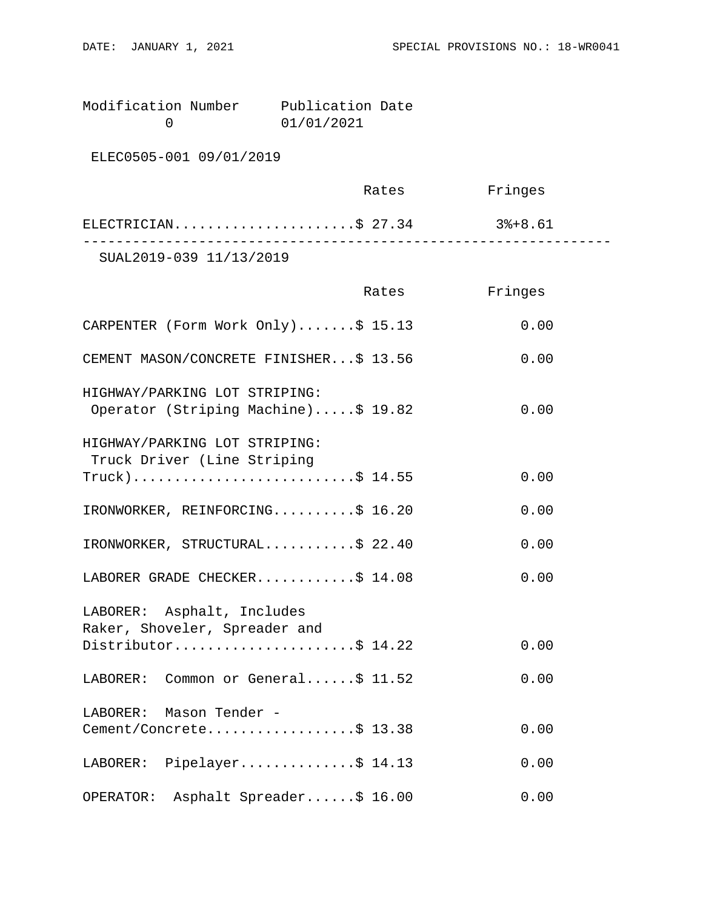| Modification Number | Publication Date |  |
|---------------------|------------------|--|
|                     | 01/01/2021       |  |

ELEC0505-001 09/01/2019

|                         | Rates | Fringes |  |
|-------------------------|-------|---------|--|
| ELECTRICIAN\$ 27.34     |       | 3%+8.61 |  |
| SUAL2019-039 11/13/2019 |       |         |  |

|                                                                      | Rates | Fringes |
|----------------------------------------------------------------------|-------|---------|
| CARPENTER (Form Work Only)\$ 15.13                                   |       | 0.00    |
| CEMENT MASON/CONCRETE FINISHER\$ 13.56                               |       | 0.00    |
| HIGHWAY/PARKING LOT STRIPING:<br>Operator (Striping Machine)\$ 19.82 |       | 0.00    |
| HIGHWAY/PARKING LOT STRIPING:<br>Truck Driver (Line Striping         |       |         |
| $True k)$ \$ 14.55                                                   |       | 0.00    |
| IRONWORKER, REINFORCING\$ 16.20                                      |       | 0.00    |
| IRONWORKER, STRUCTURAL\$ 22.40                                       |       | 0.00    |
| LABORER GRADE CHECKER\$ 14.08                                        |       | 0.00    |
| LABORER: Asphalt, Includes<br>Raker, Shoveler, Spreader and          |       |         |
| Distributor\$ 14.22                                                  |       | 0.00    |
| LABORER: Common or General\$ 11.52                                   |       | 0.00    |
| LABORER: Mason Tender -                                              |       |         |
| Cement/Concrete\$ 13.38                                              |       | 0.00    |
| LABORER: Pipelayer\$ 14.13                                           |       | 0.00    |
| Asphalt Spreader\$ 16.00<br>OPERATOR:                                |       | 0.00    |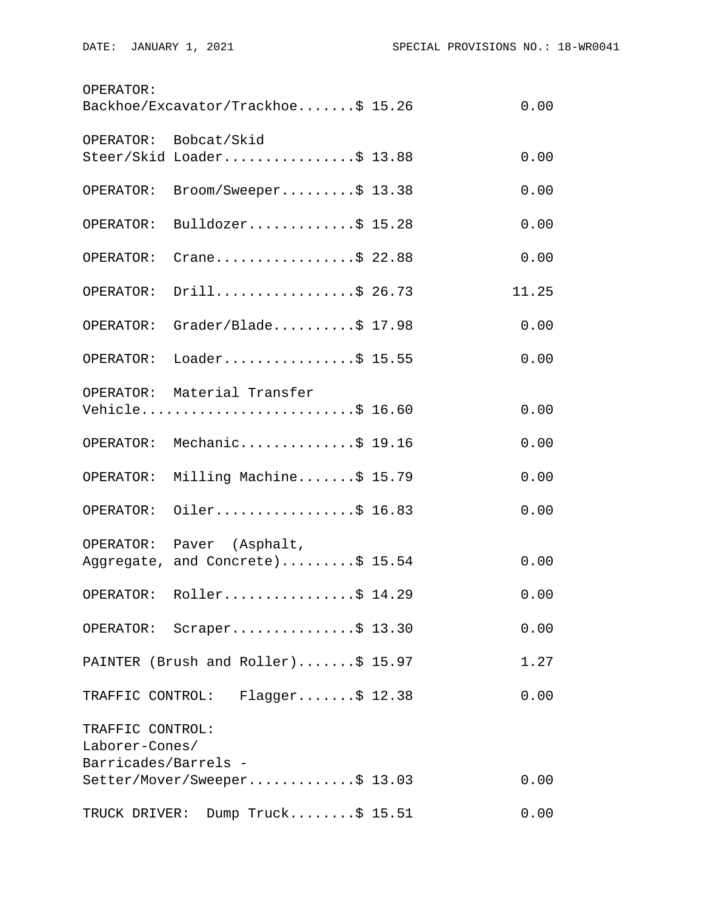| OPERATOR:            | Backhoe/Excavator/Trackhoe\$ 15.26 | 0.00  |
|----------------------|------------------------------------|-------|
|                      | OPERATOR: Bobcat/Skid              |       |
|                      | Steer/Skid Loader\$ 13.88          | 0.00  |
| OPERATOR:            | Broom/Sweeper\$ 13.38              | 0.00  |
| OPERATOR:            | Bulldozer\$ 15.28                  | 0.00  |
| OPERATOR:            | Crane\$ 22.88                      | 0.00  |
| OPERATOR:            | Drill\$ 26.73                      | 11.25 |
| OPERATOR:            | Grader/Blade\$ $17.98$             | 0.00  |
| OPERATOR:            | Loader\$ 15.55                     | 0.00  |
|                      | OPERATOR: Material Transfer        |       |
|                      | Vehicle\$ 16.60                    | 0.00  |
|                      | OPERATOR: Mechanic\$ 19.16         | 0.00  |
| OPERATOR:            | Milling Machine\$ 15.79            | 0.00  |
| OPERATOR:            | Oiler\$ 16.83                      | 0.00  |
|                      | OPERATOR: Paver (Asphalt,          |       |
|                      | Aggregate, and Concrete)\$ 15.54   | 0.00  |
|                      | OPERATOR: Roller\$ 14.29           | 0.00  |
|                      | OPERATOR: Scraper\$ 13.30          | 0.00  |
|                      | PAINTER (Brush and Roller)\$ 15.97 | 1.27  |
|                      | TRAFFIC CONTROL: Flagger\$ 12.38   | 0.00  |
| TRAFFIC CONTROL:     |                                    |       |
| Laborer-Cones/       |                                    |       |
| Barricades/Barrels - | Setter/Mover/Sweeper\$ 13.03       | 0.00  |
|                      | TRUCK DRIVER: Dump Truck\$ 15.51   | 0.00  |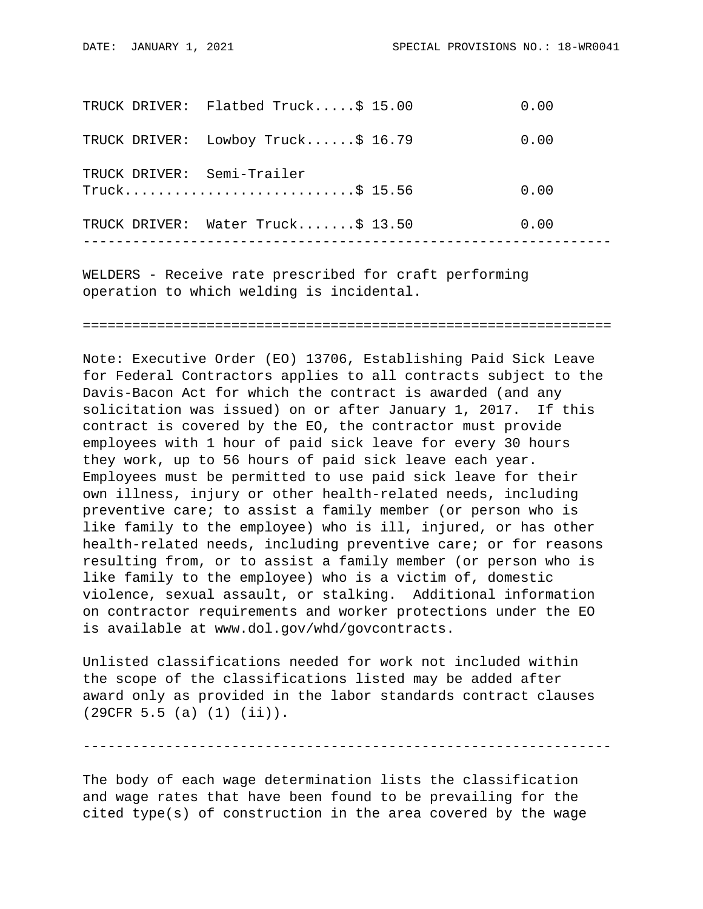|  | TRUCK DRIVER: Flatbed Truck\$ 15.00             | 0.00 |
|--|-------------------------------------------------|------|
|  | TRUCK DRIVER: Lowboy Truck\$ 16.79              | 0.00 |
|  | TRUCK DRIVER: Semi-Trailer<br>$True k$ \$ 15.56 | 0.00 |
|  | TRUCK DRIVER: Water Truck\$ 13.50               | 0.00 |
|  |                                                 |      |

WELDERS - Receive rate prescribed for craft performing operation to which welding is incidental.

================================================================

Note: Executive Order (EO) 13706, Establishing Paid Sick Leave for Federal Contractors applies to all contracts subject to the Davis-Bacon Act for which the contract is awarded (and any solicitation was issued) on or after January 1, 2017. If this contract is covered by the EO, the contractor must provide employees with 1 hour of paid sick leave for every 30 hours they work, up to 56 hours of paid sick leave each year. Employees must be permitted to use paid sick leave for their own illness, injury or other health-related needs, including preventive care; to assist a family member (or person who is like family to the employee) who is ill, injured, or has other health-related needs, including preventive care; or for reasons resulting from, or to assist a family member (or person who is like family to the employee) who is a victim of, domestic violence, sexual assault, or stalking. Additional information on contractor requirements and worker protections under the EO is available at www.dol.gov/whd/govcontracts.

Unlisted classifications needed for work not included within the scope of the classifications listed may be added after award only as provided in the labor standards contract clauses (29CFR 5.5 (a) (1) (ii)).

----------------------------------------------------------------

The body of each wage determination lists the classification and wage rates that have been found to be prevailing for the cited type(s) of construction in the area covered by the wage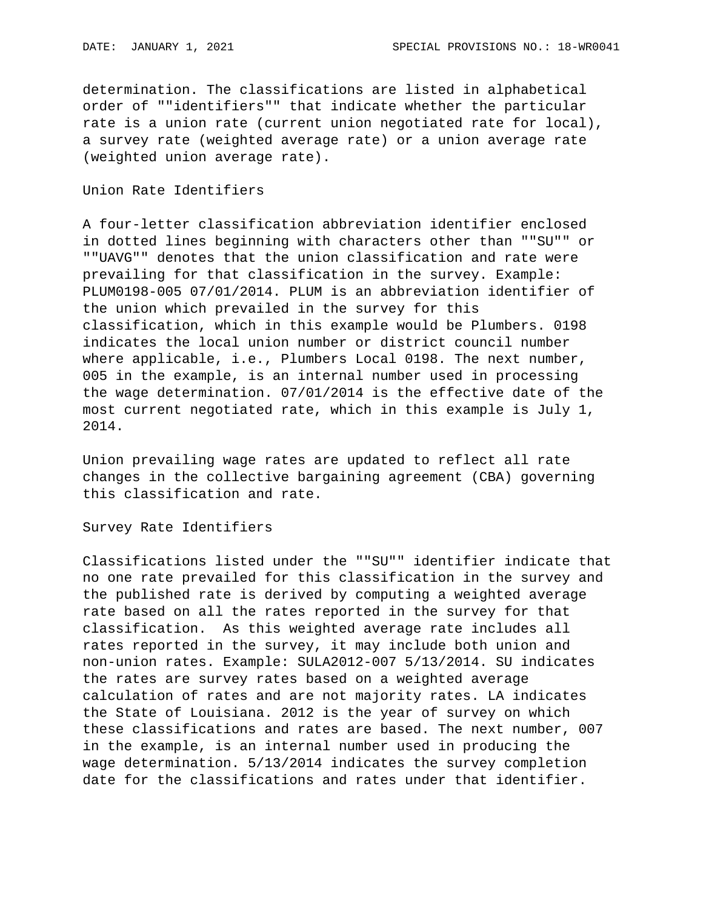determination. The classifications are listed in alphabetical order of ""identifiers"" that indicate whether the particular rate is a union rate (current union negotiated rate for local), a survey rate (weighted average rate) or a union average rate (weighted union average rate).

## Union Rate Identifiers

A four-letter classification abbreviation identifier enclosed in dotted lines beginning with characters other than ""SU"" or ""UAVG"" denotes that the union classification and rate were prevailing for that classification in the survey. Example: PLUM0198-005 07/01/2014. PLUM is an abbreviation identifier of the union which prevailed in the survey for this classification, which in this example would be Plumbers. 0198 indicates the local union number or district council number where applicable, i.e., Plumbers Local 0198. The next number, 005 in the example, is an internal number used in processing the wage determination. 07/01/2014 is the effective date of the most current negotiated rate, which in this example is July 1, 2014.

Union prevailing wage rates are updated to reflect all rate changes in the collective bargaining agreement (CBA) governing this classification and rate.

Survey Rate Identifiers

Classifications listed under the ""SU"" identifier indicate that no one rate prevailed for this classification in the survey and the published rate is derived by computing a weighted average rate based on all the rates reported in the survey for that classification. As this weighted average rate includes all rates reported in the survey, it may include both union and non-union rates. Example: SULA2012-007 5/13/2014. SU indicates the rates are survey rates based on a weighted average calculation of rates and are not majority rates. LA indicates the State of Louisiana. 2012 is the year of survey on which these classifications and rates are based. The next number, 007 in the example, is an internal number used in producing the wage determination. 5/13/2014 indicates the survey completion date for the classifications and rates under that identifier.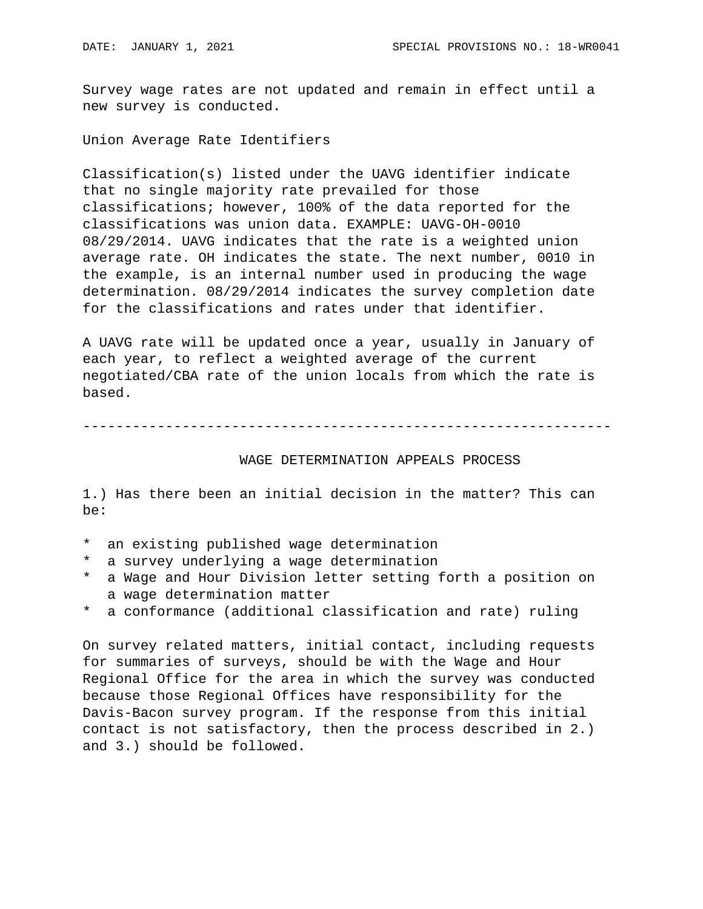Survey wage rates are not updated and remain in effect until a new survey is conducted.

Union Average Rate Identifiers

Classification(s) listed under the UAVG identifier indicate that no single majority rate prevailed for those classifications; however, 100% of the data reported for the classifications was union data. EXAMPLE: UAVG-OH-0010 08/29/2014. UAVG indicates that the rate is a weighted union average rate. OH indicates the state. The next number, 0010 in the example, is an internal number used in producing the wage determination. 08/29/2014 indicates the survey completion date for the classifications and rates under that identifier.

A UAVG rate will be updated once a year, usually in January of each year, to reflect a weighted average of the current negotiated/CBA rate of the union locals from which the rate is based.

----------------------------------------------------------------

## WAGE DETERMINATION APPEALS PROCESS

1.) Has there been an initial decision in the matter? This can be:

- \* an existing published wage determination
- \* a survey underlying a wage determination
- \* a Wage and Hour Division letter setting forth a position on a wage determination matter
- a conformance (additional classification and rate) ruling

On survey related matters, initial contact, including requests for summaries of surveys, should be with the Wage and Hour Regional Office for the area in which the survey was conducted because those Regional Offices have responsibility for the Davis-Bacon survey program. If the response from this initial contact is not satisfactory, then the process described in 2.) and 3.) should be followed.